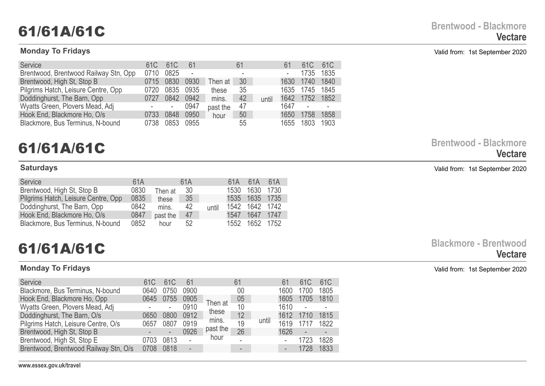### **Monday To Fridays** Valid from: 1st September 2020

| <b>Service</b>                        | 61C  | 61 <sub>C</sub>          | 61   |          | 61 |       | 61   | 61C  | 61 <sub>C</sub> |
|---------------------------------------|------|--------------------------|------|----------|----|-------|------|------|-----------------|
| Brentwood, Brentwood Railway Stn, Opp | 0710 | 0825                     | L,   |          |    |       |      | 1735 | 1835            |
| Brentwood, High St, Stop B            | 0715 | 0830                     | 0930 | Гһеn at  | 30 |       | 1630 | 1740 | 1840            |
| Pilgrims Hatch, Leisure Centre, Opp   | 0720 | 0835                     | 0935 | these    | 35 |       | 1635 | 1745 | 1845            |
| Doddinghurst, The Barn, Opp           | 0727 | 0842                     | 0942 | mins.    | 42 | until | 1642 | 1752 | 1852            |
| Wyatts Green, Plovers Mead, Adj       |      | $\overline{\phantom{a}}$ | 0947 | past the | 47 |       | 1647 |      |                 |
| Hook End, Blackmore Ho, O/s           | 0733 | 0848                     | 0950 | hour     | 50 |       | 1650 | 1758 | 1858            |
| Blackmore, Bus Terminus, N-bound      | 0738 | 0853                     | 0955 |          | 55 |       | 1655 | 1803 | 1903            |

# **61/61A/61C Brentwood - Blackmore**

| Service                             | 61A  |          | 61A |       |      | 61A 61A        | 61A |
|-------------------------------------|------|----------|-----|-------|------|----------------|-----|
| Brentwood, High St, Stop B          | 0830 | Then at  | 30  |       | 1530 | 1630 1730      |     |
| Pilgrims Hatch, Leisure Centre, Opp | 0835 | these    | 35  |       |      | 1535 1635 1735 |     |
| Doddinghurst, The Barn, Opp         | 0842 | mins.    | 42  | until |      | 1542 1642 1742 |     |
| Hook End, Blackmore Ho, O/s         | 0847 | past the | 47  |       | 1547 | 1647 1747      |     |
| Blackmore, Bus Terminus, N-bound    | 0852 | hour     | 52  |       | 1552 | 1652 1752      |     |

| <b>Service</b>                        | 61C  | 61 <sub>C</sub>          | 61   |          | 61 |       | 61   | 61 <sub>C</sub> | 61C  |
|---------------------------------------|------|--------------------------|------|----------|----|-------|------|-----------------|------|
| Blackmore, Bus Terminus, N-bound      | 0640 | 0750                     | 0900 |          | 00 |       | 1600 | 1700            | 1805 |
| Hook End, Blackmore Ho, Opp           | 0645 | 0755                     | 0905 | Then at  | 05 |       | 1605 | 1705            | 1810 |
| Wyatts Green, Plovers Mead, Adj       |      | ۰                        | 0910 |          | 10 |       | 1610 |                 |      |
| Doddinghurst, The Barn, O/s           | 0650 | 0800                     | 0912 | these    | 12 |       | 1612 | 1710            | 1815 |
| Pilgrims Hatch, Leisure Centre, O/s   | 0657 | 0807                     | 0919 | mins.    | 19 | until | 1619 | 1717            | 1822 |
| Brentwood, High St, Stop B            |      | $\overline{\phantom{0}}$ | 0926 | past the | 26 |       | 1626 |                 |      |
| Brentwood, High St, Stop E            | 0703 | 0813                     |      | hour     |    |       |      | 1723            | 1828 |
| Brentwood, Brentwood Railway Stn, O/s | 0708 | 0818                     |      |          |    |       |      |                 | 1833 |

**Vectare**

**Saturdays** Valid from: 1st September 2020

**61/61A/61C Blackmore - Brentwood Vectare**

**Monday To Fridays** Valid from: 1st September 2020

**www.essex.gov.uk/travel**